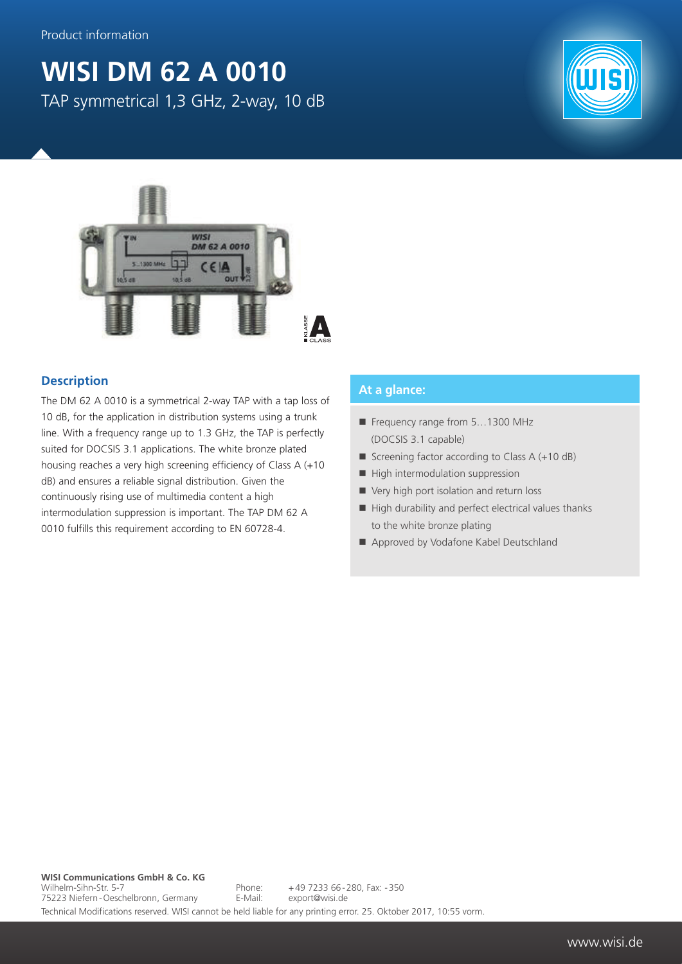## **WISI DM 62 A 0010** TAP symmetrical 1,3 GHz, 2-way, 10 dB





## **Description**

The DM 62 A 0010 is a symmetrical 2-way TAP with a tap loss of 10 dB, for the application in distribution systems using a trunk line. With a frequency range up to 1.3 GHz, the TAP is perfectly suited for DOCSIS 3.1 applications. The white bronze plated housing reaches a very high screening efficiency of Class A (+10 dB) and ensures a reliable signal distribution. Given the continuously rising use of multimedia content a high intermodulation suppression is important. The TAP DM 62 A 0010 fulfills this requirement according to EN 60728-4.

## **At a glance:**

- Frequency range from 5...1300 MHz (DOCSIS 3.1 capable)
- Screening factor according to Class  $A (+10 dB)$
- $\blacksquare$  High intermodulation suppression
- Very high port isolation and return loss
- $\blacksquare$  High durability and perfect electrical values thanks to the white bronze plating
- Approved by Vodafone Kabel Deutschland